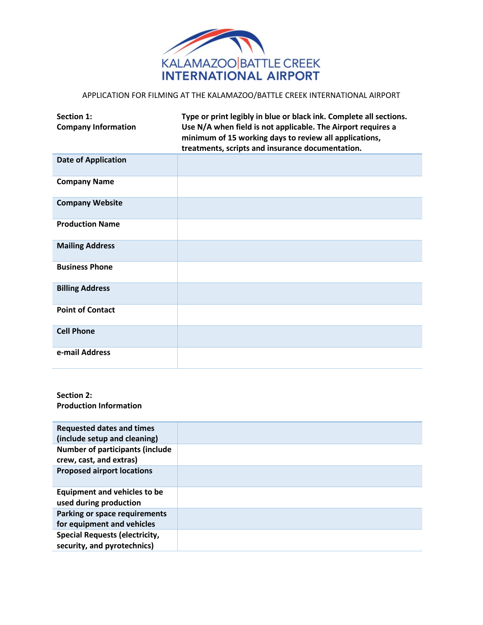

## APPLICATION FOR FILMING AT THE KALAMAZOO/BATTLE CREEK INTERNATIONAL AIRPORT

| Section 1:<br><b>Company Information</b> | Type or print legibly in blue or black ink. Complete all sections.<br>Use N/A when field is not applicable. The Airport requires a<br>minimum of 15 working days to review all applications,<br>treatments, scripts and insurance documentation. |
|------------------------------------------|--------------------------------------------------------------------------------------------------------------------------------------------------------------------------------------------------------------------------------------------------|
| <b>Date of Application</b>               |                                                                                                                                                                                                                                                  |
| <b>Company Name</b>                      |                                                                                                                                                                                                                                                  |
| <b>Company Website</b>                   |                                                                                                                                                                                                                                                  |
| <b>Production Name</b>                   |                                                                                                                                                                                                                                                  |
| <b>Mailing Address</b>                   |                                                                                                                                                                                                                                                  |
| <b>Business Phone</b>                    |                                                                                                                                                                                                                                                  |
| <b>Billing Address</b>                   |                                                                                                                                                                                                                                                  |
| <b>Point of Contact</b>                  |                                                                                                                                                                                                                                                  |
| <b>Cell Phone</b>                        |                                                                                                                                                                                                                                                  |
| e-mail Address                           |                                                                                                                                                                                                                                                  |

## **Section 2: Production Information**